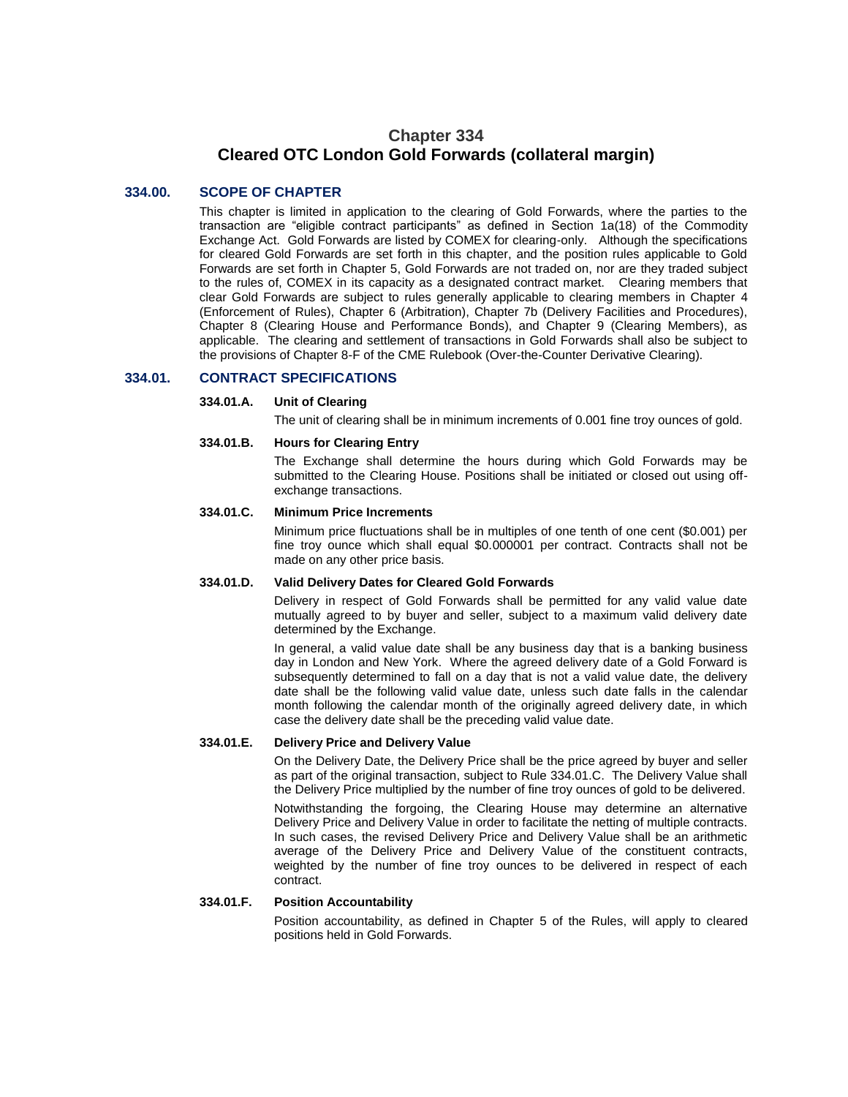# **Chapter 334 Cleared OTC London Gold Forwards (collateral margin)**

# **334.00. SCOPE OF CHAPTER**

This chapter is limited in application to the clearing of Gold Forwards, where the parties to the transaction are "eligible contract participants" as defined in Section 1a(18) of the Commodity Exchange Act. Gold Forwards are listed by COMEX for clearing-only. Although the specifications for cleared Gold Forwards are set forth in this chapter, and the position rules applicable to Gold Forwards are set forth in Chapter 5, Gold Forwards are not traded on, nor are they traded subject to the rules of, COMEX in its capacity as a designated contract market. Clearing members that clear Gold Forwards are subject to rules generally applicable to clearing members in Chapter 4 (Enforcement of Rules), Chapter 6 (Arbitration), Chapter 7b (Delivery Facilities and Procedures), Chapter 8 (Clearing House and Performance Bonds), and Chapter 9 (Clearing Members), as applicable. The clearing and settlement of transactions in Gold Forwards shall also be subject to the provisions of Chapter 8-F of the CME Rulebook (Over-the-Counter Derivative Clearing).

### **334.01. CONTRACT SPECIFICATIONS**

#### **334.01.A. Unit of Clearing**

The unit of clearing shall be in minimum increments of 0.001 fine troy ounces of gold.

#### **334.01.B. Hours for Clearing Entry**

The Exchange shall determine the hours during which Gold Forwards may be submitted to the Clearing House. Positions shall be initiated or closed out using offexchange transactions.

#### **334.01.C. Minimum Price Increments**

Minimum price fluctuations shall be in multiples of one tenth of one cent (\$0.001) per fine troy ounce which shall equal \$0.000001 per contract. Contracts shall not be made on any other price basis.

#### **334.01.D. Valid Delivery Dates for Cleared Gold Forwards**

Delivery in respect of Gold Forwards shall be permitted for any valid value date mutually agreed to by buyer and seller, subject to a maximum valid delivery date determined by the Exchange.

In general, a valid value date shall be any business day that is a banking business day in London and New York. Where the agreed delivery date of a Gold Forward is subsequently determined to fall on a day that is not a valid value date, the delivery date shall be the following valid value date, unless such date falls in the calendar month following the calendar month of the originally agreed delivery date, in which case the delivery date shall be the preceding valid value date.

#### **334.01.E. Delivery Price and Delivery Value**

On the Delivery Date, the Delivery Price shall be the price agreed by buyer and seller as part of the original transaction, subject to Rule 334.01.C. The Delivery Value shall the Delivery Price multiplied by the number of fine troy ounces of gold to be delivered.

Notwithstanding the forgoing, the Clearing House may determine an alternative Delivery Price and Delivery Value in order to facilitate the netting of multiple contracts. In such cases, the revised Delivery Price and Delivery Value shall be an arithmetic average of the Delivery Price and Delivery Value of the constituent contracts, weighted by the number of fine troy ounces to be delivered in respect of each contract.

#### **334.01.F. Position Accountability**

Position accountability, as defined in Chapter 5 of the Rules, will apply to cleared positions held in Gold Forwards.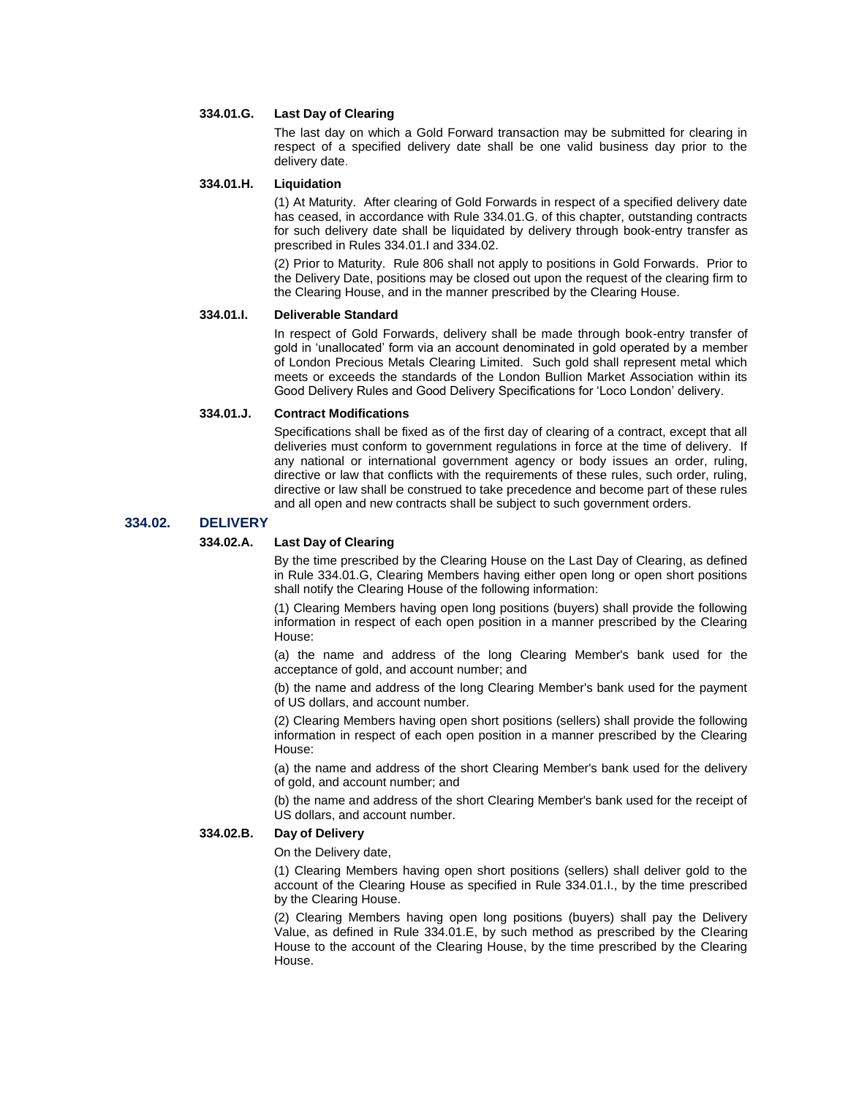# **334.01.G. Last Day of Clearing**

The last day on which a Gold Forward transaction may be submitted for clearing in respect of a specified delivery date shall be one valid business day prior to the delivery date.

# **334.01.H. Liquidation**

(1) At Maturity. After clearing of Gold Forwards in respect of a specified delivery date has ceased, in accordance with Rule 334.01.G. of this chapter, outstanding contracts for such delivery date shall be liquidated by delivery through book-entry transfer as prescribed in Rules 334.01.I and 334.02.

(2) Prior to Maturity. Rule 806 shall not apply to positions in Gold Forwards. Prior to the Delivery Date, positions may be closed out upon the request of the clearing firm to the Clearing House, and in the manner prescribed by the Clearing House.

### **334.01.I. Deliverable Standard**

In respect of Gold Forwards, delivery shall be made through book-entry transfer of gold in 'unallocated' form via an account denominated in gold operated by a member of London Precious Metals Clearing Limited. Such gold shall represent metal which meets or exceeds the standards of the London Bullion Market Association within its Good Delivery Rules and Good Delivery Specifications for 'Loco London' delivery.

### **334.01.J. Contract Modifications**

Specifications shall be fixed as of the first day of clearing of a contract, except that all deliveries must conform to government regulations in force at the time of delivery. If any national or international government agency or body issues an order, ruling, directive or law that conflicts with the requirements of these rules, such order, ruling, directive or law shall be construed to take precedence and become part of these rules and all open and new contracts shall be subject to such government orders.

### **334.02. DELIVERY**

# **334.02.A. Last Day of Clearing**

By the time prescribed by the Clearing House on the Last Day of Clearing, as defined in Rule 334.01.G, Clearing Members having either open long or open short positions shall notify the Clearing House of the following information:

(1) Clearing Members having open long positions (buyers) shall provide the following information in respect of each open position in a manner prescribed by the Clearing House:

(a) the name and address of the long Clearing Member's bank used for the acceptance of gold, and account number; and

(b) the name and address of the long Clearing Member's bank used for the payment of US dollars, and account number.

(2) Clearing Members having open short positions (sellers) shall provide the following information in respect of each open position in a manner prescribed by the Clearing House:

(a) the name and address of the short Clearing Member's bank used for the delivery of gold, and account number; and

(b) the name and address of the short Clearing Member's bank used for the receipt of US dollars, and account number.

# **334.02.B. Day of Delivery**

On the Delivery date,

(1) Clearing Members having open short positions (sellers) shall deliver gold to the account of the Clearing House as specified in Rule 334.01.I., by the time prescribed by the Clearing House.

(2) Clearing Members having open long positions (buyers) shall pay the Delivery Value, as defined in Rule 334.01.E, by such method as prescribed by the Clearing House to the account of the Clearing House, by the time prescribed by the Clearing House.